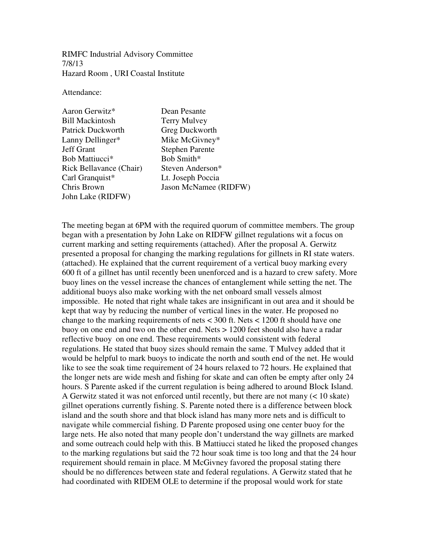RIMFC Industrial Advisory Committee 7/8/13 Hazard Room , URI Coastal Institute

Attendance:

Aaron Gerwitz\* Dean Pesante Bill Mackintosh Terry Mulvey Patrick Duckworth Greg Duckworth Lanny Dellinger\* Mike McGivney\* Jeff Grant Stephen Parente Bob Mattiucci\*<br>Rick Bellavance (Chair) Steven Anderson\* Rick Bellavance (Chair) Carl Granquist\* Lt. Joseph Poccia John Lake (RIDFW)

Chris Brown Jason McNamee (RIDFW)

The meeting began at 6PM with the required quorum of committee members. The group began with a presentation by John Lake on RIDFW gillnet regulations wit a focus on current marking and setting requirements (attached). After the proposal A. Gerwitz presented a proposal for changing the marking regulations for gillnets in RI state waters. (attached). He explained that the current requirement of a vertical buoy marking every 600 ft of a gillnet has until recently been unenforced and is a hazard to crew safety. More buoy lines on the vessel increase the chances of entanglement while setting the net. The additional buoys also make working with the net onboard small vessels almost impossible. He noted that right whale takes are insignificant in out area and it should be kept that way by reducing the number of vertical lines in the water. He proposed no change to the marking requirements of nets < 300 ft. Nets < 1200 ft should have one buoy on one end and two on the other end. Nets > 1200 feet should also have a radar reflective buoy on one end. These requirements would consistent with federal regulations. He stated that buoy sizes should remain the same. T Mulvey added that it would be helpful to mark buoys to indicate the north and south end of the net. He would like to see the soak time requirement of 24 hours relaxed to 72 hours. He explained that the longer nets are wide mesh and fishing for skate and can often be empty after only 24 hours. S Parente asked if the current regulation is being adhered to around Block Island. A Gerwitz stated it was not enforced until recently, but there are not many (< 10 skate) gillnet operations currently fishing. S. Parente noted there is a difference between block island and the south shore and that block island has many more nets and is difficult to navigate while commercial fishing. D Parente proposed using one center buoy for the large nets. He also noted that many people don't understand the way gillnets are marked and some outreach could help with this. B Mattiucci stated he liked the proposed changes to the marking regulations but said the 72 hour soak time is too long and that the 24 hour requirement should remain in place. M McGivney favored the proposal stating there should be no differences between state and federal regulations. A Gerwitz stated that he had coordinated with RIDEM OLE to determine if the proposal would work for state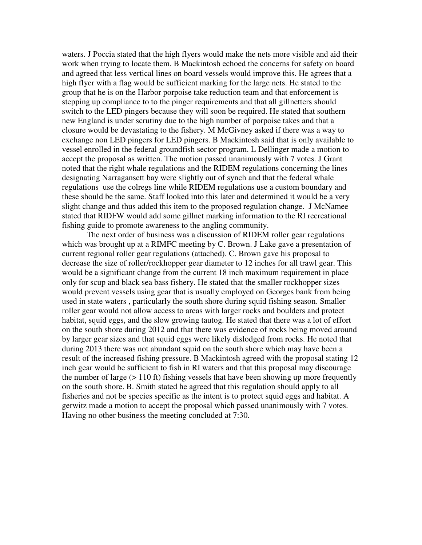waters. J Poccia stated that the high flyers would make the nets more visible and aid their work when trying to locate them. B Mackintosh echoed the concerns for safety on board and agreed that less vertical lines on board vessels would improve this. He agrees that a high flyer with a flag would be sufficient marking for the large nets. He stated to the group that he is on the Harbor porpoise take reduction team and that enforcement is stepping up compliance to to the pinger requirements and that all gillnetters should switch to the LED pingers because they will soon be required. He stated that southern new England is under scrutiny due to the high number of porpoise takes and that a closure would be devastating to the fishery. M McGivney asked if there was a way to exchange non LED pingers for LED pingers. B Mackintosh said that is only available to vessel enrolled in the federal groundfish sector program. L Dellinger made a motion to accept the proposal as written. The motion passed unanimously with 7 votes. J Grant noted that the right whale regulations and the RIDEM regulations concerning the lines designating Narragansett bay were slightly out of synch and that the federal whale regulations use the colregs line while RIDEM regulations use a custom boundary and these should be the same. Staff looked into this later and determined it would be a very slight change and thus added this item to the proposed regulation change. J McNamee stated that RIDFW would add some gillnet marking information to the RI recreational fishing guide to promote awareness to the angling community.

 The next order of business was a discussion of RIDEM roller gear regulations which was brought up at a RIMFC meeting by C. Brown. J Lake gave a presentation of current regional roller gear regulations (attached). C. Brown gave his proposal to decrease the size of roller/rockhopper gear diameter to 12 inches for all trawl gear. This would be a significant change from the current 18 inch maximum requirement in place only for scup and black sea bass fishery. He stated that the smaller rockhopper sizes would prevent vessels using gear that is usually employed on Georges bank from being used in state waters , particularly the south shore during squid fishing season. Smaller roller gear would not allow access to areas with larger rocks and boulders and protect habitat, squid eggs, and the slow growing tautog. He stated that there was a lot of effort on the south shore during 2012 and that there was evidence of rocks being moved around by larger gear sizes and that squid eggs were likely dislodged from rocks. He noted that during 2013 there was not abundant squid on the south shore which may have been a result of the increased fishing pressure. B Mackintosh agreed with the proposal stating 12 inch gear would be sufficient to fish in RI waters and that this proposal may discourage the number of large  $(>110 \text{ ft})$  fishing vessels that have been showing up more frequently on the south shore. B. Smith stated he agreed that this regulation should apply to all fisheries and not be species specific as the intent is to protect squid eggs and habitat. A gerwitz made a motion to accept the proposal which passed unanimously with 7 votes. Having no other business the meeting concluded at 7:30.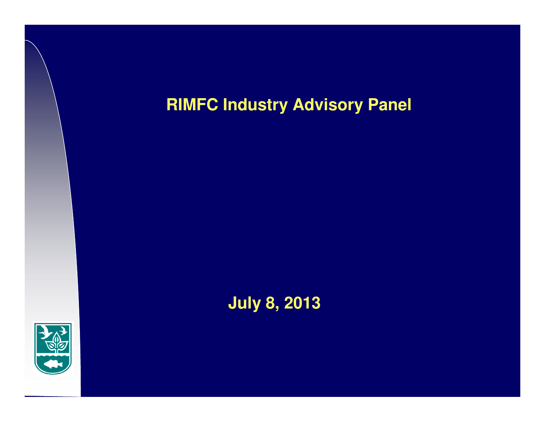# **RIMFC Industry Advisory Panel**



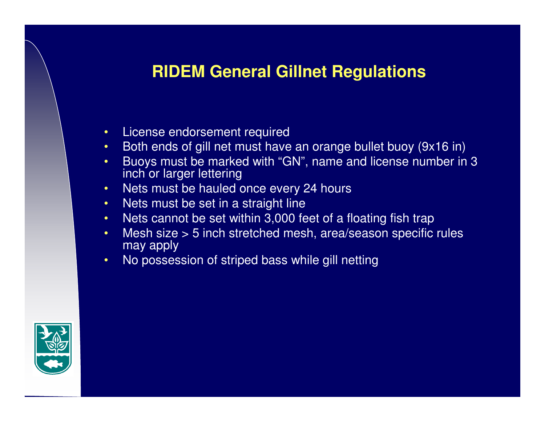## **RIDEM General Gillnet Regulations**

- •License endorsement required
- Both ends of gill net must have an orange bullet buoy (9x16 in) •
- • Buoys must be marked with "GN", name and license number in 3 inch or larger lettering
- Nets must be hauled once every 24 hours •
- •Nets must be set in a straight line
- Nets cannot be set within 3,000 feet of a floating fish trap $\bullet$
- Mesh size > 5 inch stretched mesh, area/season specific rules •may apply
- No possession of striped bass while gill netting•

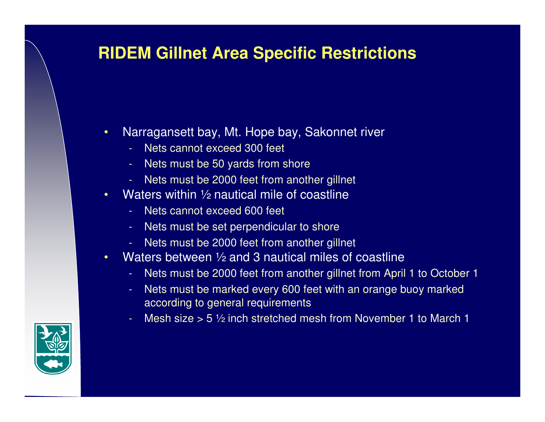# **RIDEM Gillnet Area Specific Restrictions**

- • Narragansett bay, Mt. Hope bay, Sakonnet river
	- Nets cannot exceed 300 feet
	- Nets must be 50 yards from shore
	- Nets must be 2000 feet from another gillnet
- •Waters within 1/2 nautical mile of coastline
	- -Nets cannot exceed 600 feet
	- Nets must be set perpendicular to shore
	- Nets must be 2000 feet from another gillnet
- • Waters between ½ and 3 nautical miles of coastline
	- Nets must be 2000 feet from another gillnet from April 1 to October 1
	- Nets must be marked every 600 feet with an orange buoy marked according to general requirements
	- Mesh size  $> 5 \frac{1}{2}$  inch stretched mesh from November 1 to March 1

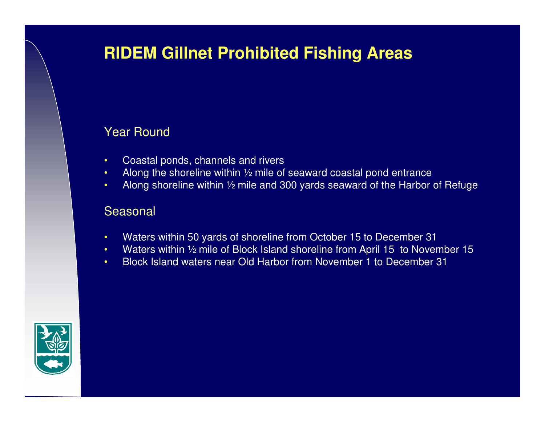# **RIDEM Gillnet Prohibited Fishing Areas**

## Year Round

- •Coastal ponds, channels and rivers
- Along the shoreline within  $\frac{1}{2}$  mile of seaward coastal pond entrance •
- Along shoreline within  $\frac{1}{2}$  mile and 300 yards seaward of the Harbor of Refuge •

### Seasonal

- •Waters within 50 yards of shoreline from October 15 to December 31
- Waters within ½ mile of Block Island shoreline from April 15 to November 15•
- •Block Island waters near Old Harbor from November 1 to December 31

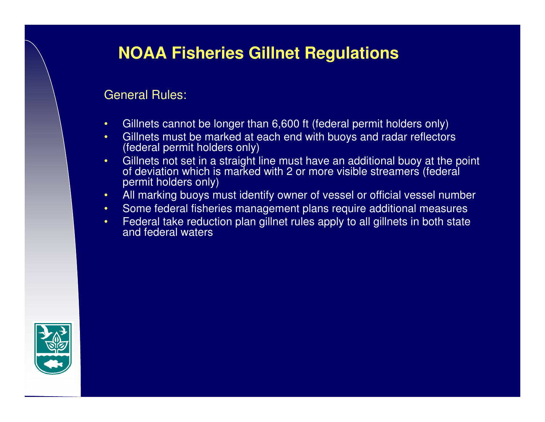# **NOAA Fisheries Gillnet Regulations**

### General Rules:

- •Gillnets cannot be longer than 6,600 ft (federal permit holders only)
- • Gillnets must be marked at each end with buoys and radar reflectors (federal permit holders only)
- Gillnets not set in a straight line must have an additional buoy at the point •of deviation which is marked with 2 or more visible streamers (federal permit holders only)
- All marking buoys must identify owner of vessel or official vessel number •
- Some federal fisheries management plans require additional measures
- • Federal take reduction plan gillnet rules apply to all gillnets in both state and federal waters

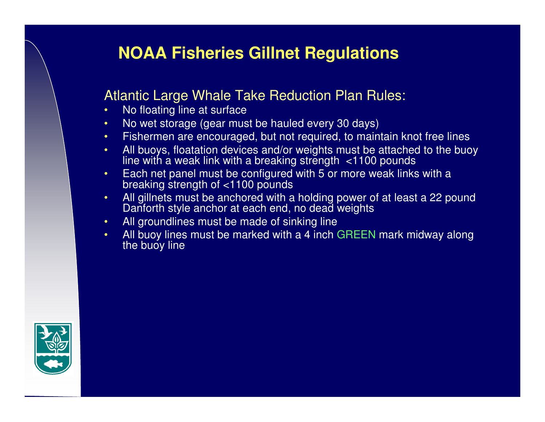# **NOAA Fisheries Gillnet Regulations**

## Atlantic Large Whale Take Reduction Plan Rules:

- •No floating line at surface
- No wet storage (gear must be hauled every 30 days) •
- •Fishermen are encouraged, but not required, to maintain knot free lines
- All buoys, floatation devices and/or weights must be attached to the buoy •line with a weak link with a breaking strength <1100 pounds
- Each net panel must be configured with 5 or more weak links with <sup>a</sup> •breaking strength of <1100 pounds
- All gillnets must be anchored with a holding power of at least a 22 pound •Danforth style anchor at each end, no dead weights
- •All groundlines must be made of sinking line
- All buoy lines must be marked with a 4 inch GREEN mark midway along<br>the buoy line •the buoy line

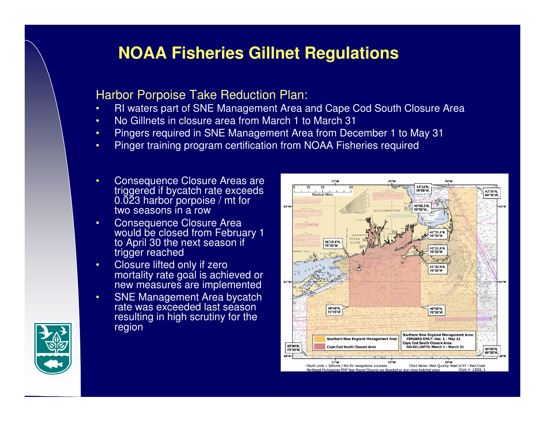# **NOAA Fisheries Gillnet Regulations**

### Harbor Porpoise Take Reduction Plan:

- RI waters part of SNE Management Area and Cape Cod South Closure Area•
- •No Gillnets in closure area from March 1 to March 31
- Pingers required in SNE Management Area from December 1 to May 31•
- •Pinger training program certification from NOAA Fisheries required
- • Consequence Closure Areas are triggered if bycatch rate exceeds 0.023 harbor porpoise / mt for two seasons in a row
- **Consequence Closure Area** •would be closed from February 1 to April 30 the next season if trigger reached
- Closure lifted only if zero •mortality rate goal is achieved or new measures are implemented
- SNE Management Area bycatch rate was exceeded last season • resulting in high scrutiny for the region



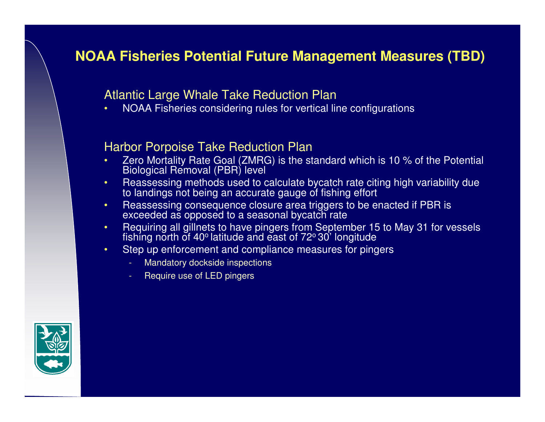## **NOAA Fisheries Potential Future Management Measures (TBD)**

## Atlantic Large Whale Take Reduction Plan

 NOAA Fisheries considering rules for vertical line configurations •

### Harbor Porpoise Take Reduction Plan

- Zero Mortality Rate Goal (ZMRG) is the standard which is 10 % of the Potential •Biological Removal (PBR) level
- • Reassessing methods used to calculate bycatch rate citing high variability due to landings not being an accurate gauge of fishing effort
- Reassessing consequence closure area triggers to be enacted if PBR is •exceeded as opposed to a seasonal bycatch rate
- Requiring all gillnets to have pingers from September 15 to May 31 for vessels •fishing north of 40º latitude and east of 72º 30' longitude
- Step up enforcement and compliance measures for pingers•
	- -Mandatory dockside inspections
	- -Require use of LED pingers

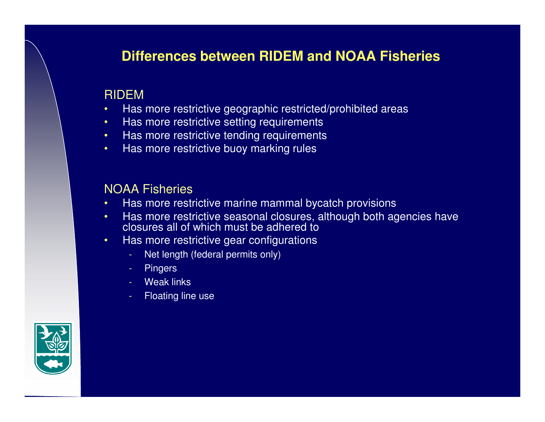## **Differences between RIDEM and NOAA Fisheries**

## RIDEM

- Has more restrictive geographic restricted/prohibited areas•
- •Has more restrictive setting requirements
- Has more restrictive tending requirements •
- •Has more restrictive buoy marking rules

## NOAA Fisheries

- Has more restrictive marine mammal bycatch provisions•
- Has more restrictive seasonal closures, although both agencies have •closures all of which must be adhered to
- Has more restrictive gear configurations •
	- Net length (federal permits only)
	- Pingers
	- Weak links
	- Floating line use

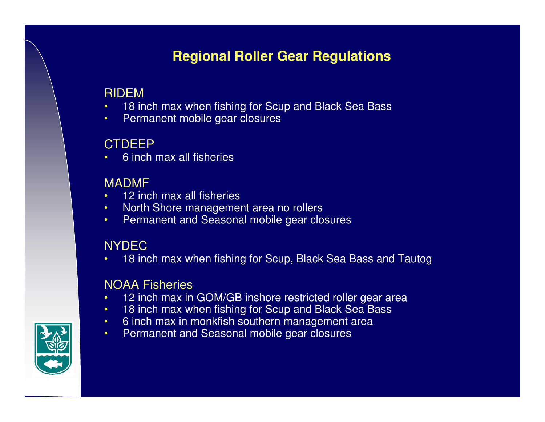## **Regional Roller Gear Regulations**

## RIDEM

- 18 inch max when fishing for Scup and Black Sea Bass•
- •Permanent mobile gear closures

## **CTDEEP**

 6 inch max all fisheries•

## MADMF

- 12 inch max all fisheries
- North Shore management area no rollers•
- Permanent and Seasonal mobile gear closures•

## **NYDEC**

 18 inch max when fishing for Scup, Black Sea Bass and Tautog•

## NOAA Fisheries

- 12 inch max in GOM/GB inshore restricted roller gear area•
- •18 inch max when fishing for Scup and Black Sea Bass
- •6 inch max in monkfish southern management area
- •Permanent and Seasonal mobile gear closures

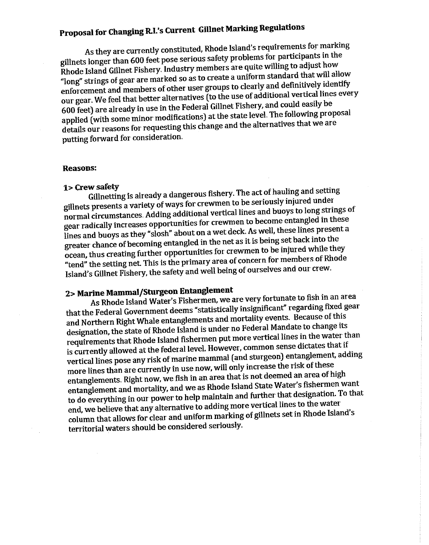## Proposal for Changing R.I.'s Current Gillnet Marking Regulations

As they are currently constituted, Rhode Island's requirements for marking gillnets longer than 600 feet pose serious safety problems for participants in the Rhode Island Gillnet Fishery. Industry members are quite willing to adjust how "long" strings of gear are marked so as to create a uniform standard that will allow enforcement and members of other user groups to clearly and definitively identify our gear. We feel that better alternatives (to the use of additional vertical lines every 600 feet) are already in use in the Federal Gillnet Fishery, and could easily be applied (with some minor modifications) at the state level. The following proposal details our reasons for requesting this change and the alternatives that we are putting forward for consideration.

#### **Reasons:**

#### 1> Crew safety

Gillnetting is already a dangerous fishery. The act of hauling and setting gillnets presents a variety of ways for crewmen to be seriously injured under normal circumstances. Adding additional vertical lines and buoys to long strings of gear radically increases opportunities for crewmen to become entangled in these lines and buoys as they "slosh" about on a wet deck. As well, these lines present a greater chance of becoming entangled in the net as it is being set back into the ocean, thus creating further opportunities for crewmen to be injured while they "tend" the setting net. This is the primary area of concern for members of Rhode Island's Gillnet Fishery, the safety and well being of ourselves and our crew.

### 2> Marine Mammal/Sturgeon Entanglement

As Rhode Island Water's Fishermen, we are very fortunate to fish in an area that the Federal Government deems "statistically insignificant" regarding fixed gear and Northern Right Whale entanglements and mortality events. Because of this designation, the state of Rhode Island is under no Federal Mandate to change its requirements that Rhode Island fishermen put more vertical lines in the water than is currently allowed at the federal level. However, common sense dictates that if vertical lines pose any risk of marine mammal (and sturgeon) entanglement, adding more lines than are currently in use now, will only increase the risk of these entanglements. Right now, we fish in an area that is not deemed an area of high entanglement and mortality, and we as Rhode Island State Water's fishermen want to do everything in our power to help maintain and further that designation. To that end, we believe that any alternative to adding more vertical lines to the water column that allows for clear and uniform marking of gillnets set in Rhode Island's territorial waters should be considered seriously.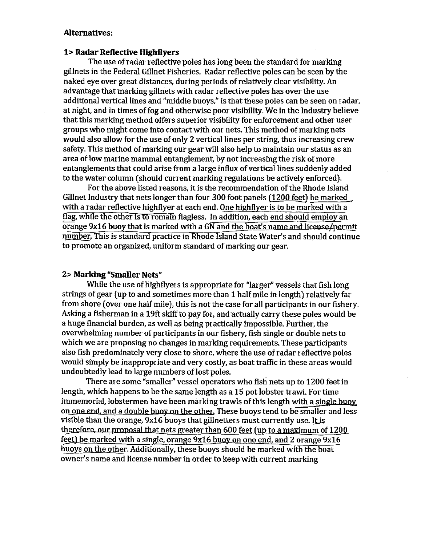#### **Alternatives:**

#### **1> Radar Reflective Highflvers**

The use of radar reflective poles has long been the standard for marking gillnets in the Federal Gillnet Fisheries. Radar reflective poles can be seen by the naked eye over great distances, during periods of relatively clear visibility. An advantage that marking gillnets with radar reflective poles has over the use additional vertical lines and "middle buoys," is that these poles can be seen on radar, at night, and in times of fog and otherwise poor visibility. We in the Industry believe that this marking method offers superior visibility for enforcement and other user groups who might come into contact with our nets. This method of marking nets would also allow for the use of only 2 vertical lines per string, thus increasing crew safety. This method of marking our gear will also help to maintain our status as an area of low marine mammal entanglement, by not increasing the risk of more entanglements that could arise from a large influx of vertical lines suddenly added to the water column (should current marking regulations be actively enforced).

For the above listed reasons, it is the recommendation of the Rhode Island Gillnet Industry that nets longer than four 300 foot panels (1200 feet) be marked with a radar reflective highflyer at each end. One highflyer is to be marked with a flag, while the other is to remain flagless. In addition, each end should employ an orange 9x16 buoy that is marked with a GN and the boat's name and license/permit number. This is standard practice in Rhode Island State Water's and should continue to promote an organized, uniform standard of marking our gear.

#### 2> Marking "Smaller Nets"

While the use of highflyers is appropriate for "larger" vessels that fish long strings of gear (up to and sometimes more than 1 half mile in length) relatively far from shore (over one half mile), this is not the case for all participants in our fishery. Asking a fisherman in a 19ft skiff to pay for, and actually carry these poles would be a huge financial burden, as well as being practically impossible. Further, the overwhelming number of participants in our fishery, fish single or double nets to which we are proposing no changes in marking requirements. These participants also fish predominately very close to shore, where the use of radar reflective poles would simply be inappropriate and very costly, as boat traffic in these areas would undoubtedly lead to large numbers of lost poles.

There are some "smaller" vessel operators who fish nets up to 1200 feet in length, which happens to be the same length as a 15 pot lobster trawl. For time immemorial, lobstermen have been marking trawls of this length with a single buoy on one end, and a double buoy on the other. These buoys tend to be smaller and less visible than the orange, 9x16 buoys that gillnetters must currently use. It is therefore, our proposal that nets greater than 600 feet (up to a maximum of 1200 feet) be marked with a single, orange 9x16 buoy on one end, and 2 orange 9x16 buoys on the other. Additionally, these buoys should be marked with the boat owner's name and license number in order to keep with current marking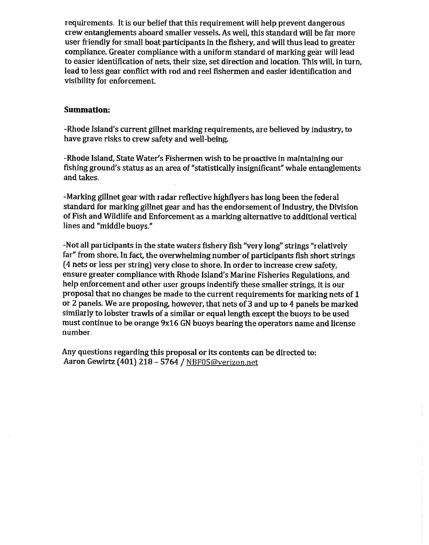requirements. It is our belief that this requirement will help prevent dangerous crew entanglements aboard smaller vessels. As well, this standard will be far more user friendly for small boat participants in the fishery, and will thus lead to greater compliance. Greater compliance with a uniform standard of marking gear will lead to easier identification of nets, their size, set direction and location. This will, in turn, lead to less gear conflict with rod and reel fishermen and easier identification and visibility for enforcement.

#### **Summation:**

-Rhode Island's current gillnet marking requirements, are believed by industry, to have grave risks to crew safety and well-being.

-Rhode Island, State Water's Fishermen wish to be proactive in maintaining our fishing ground's status as an area of "statistically insignificant" whale entanglements and takes.

-Marking gillnet gear with radar reflective highflyers has long been the federal standard for marking gillnet gear and has the endorsement of Industry, the Division of Fish and Wildlife and Enforcement as a marking alternative to additional vertical lines and "middle buoys."

-Not all participants in the state waters fishery fish "very long" strings "relatively far" from shore. In fact, the overwhelming number of participants fish short strings (4 nets or less per string) very close to shore. In order to increase crew safety, ensure greater compliance with Rhode Island's Marine Fisheries Regulations, and help enforcement and other user groups indentify these smaller strings, it is our proposal that no changes be made to the current requirements for marking nets of 1 or 2 panels. We are proposing, however, that nets of 3 and up to 4 panels be marked similarly to lobster trawls of a similar or equal length except the buoys to be used must continue to be orange 9x16 GN buoys bearing the operators name and license number.

Any questions regarding this proposal or its contents can be directed to: Aaron Gewirtz (401) 218 - 5764 / NBF05@verizon.net